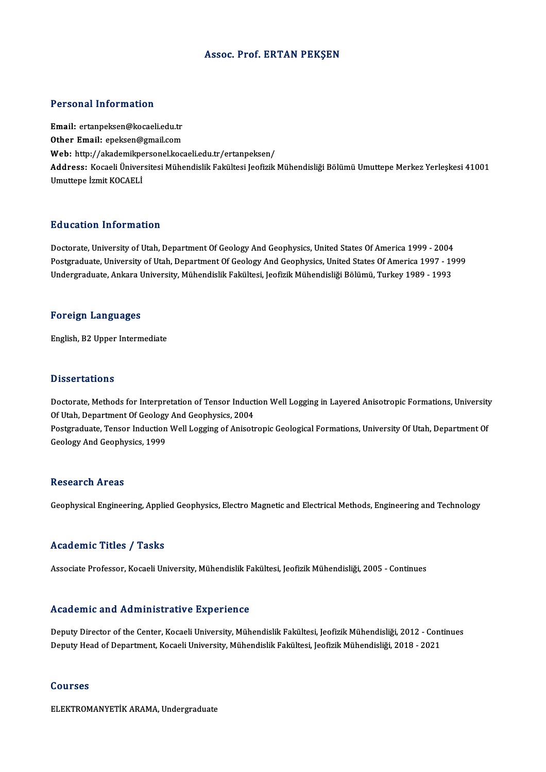# Assoc. Prof. ERTAN PEKŞEN

# Personal Information

Email: ertanpeksen@kocaeli.edu.tr Other Email: epeksen@gmail.com Email: ertanpeksen@kocaeli.edu.tr<br>Other Email: epeksen@gmail.com<br>Web: http://akademikpersonel.kocaeli.edu.tr/ertanpeksen/<br>Address: Kosaeli Üniversitesi Mühandielik Fakültesi leefizik. Address: Kocaeli Üniversitesi Mühendislik Fakültesi Jeofizik Mühendisliği Bölümü Umuttepe Merkez Yerleşkesi 41001<br>Umuttepe İzmit KOCAELİ Web: http://akademikpe<br>Address: Kocaeli Üniver<br>Umuttepe İzmit KOCAELİ

# Education Information

Doctorate, University of Utah, Department Of Geology And Geophysics, United States Of America 1999 - 2004 Postgraduate, University of Utah, Department Of Geology And Geophysics, United States Of America 1997 - 1999 Undergraduate, Ankara University, Mühendislik Fakültesi, Jeofizik Mühendisliği Bölümü, Turkey 1989 - 1993

# Foreign Languages

English,B2Upper Intermediate

# **Dissertations**

Dissertations<br>Doctorate, Methods for Interpretation of Tensor Induction Well Logging in Layered Anisotropic Formations, University<br>Of Utah Denartment Of Ceelegy And Ceenbysiss 2004 Dissource<br>Doctorate, Methods for Interpretation of Tensor Induct<br>Of Utah, Department Of Geology And Geophysics, 2004<br>Postavaduate, Tensor Induction Well Legging of Anisott Doctorate, Methods for Interpretation of Tensor Induction Well Logging in Layered Anisotropic Formations, University<br>Of Utah, Department Of Geology And Geophysics, 2004<br>Postgraduate, Tensor Induction Well Logging of Anisot Of Utah, Department Of Geology<br>Postgraduate, Tensor Induction<br>Geology And Geophysics, 1999

Geology And Geophysics, 1999<br>Research Areas

Geophysical Engineering, Applied Geophysics, Electro Magnetic and Electrical Methods, Engineering and Technology

# Academic Titles / Tasks

Associate Professor, Kocaeli University, Mühendislik Fakültesi, Jeofizik Mühendisliği, 2005 - Continues

# Academic and Administrative Experience

Deputy Director of the Center, Kocaeli University, Mühendislik Fakültesi, Jeofizik Mühendisliği, 2012 - Continues Deputy Head of Department, Kocaeli University, Mühendislik Fakültesi, Jeofizik Mühendisliği, 2018 - 2021

#### Courses

ELEKTROMANYETİKARAMA,Undergraduate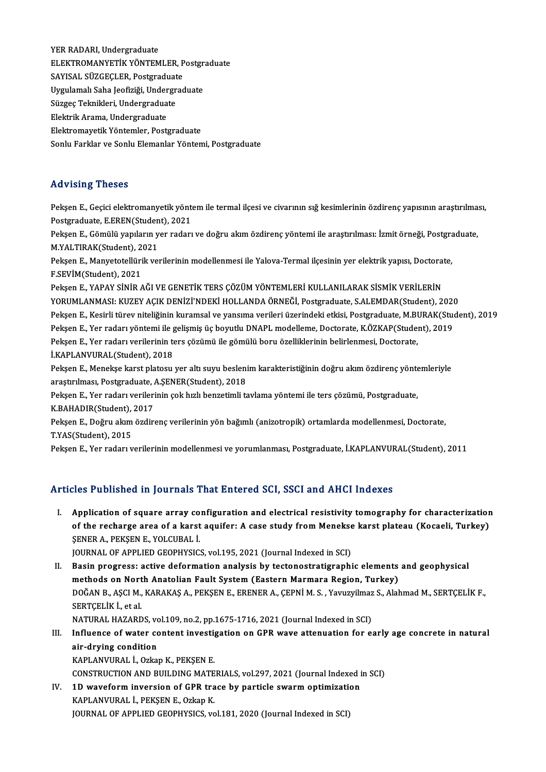YER RADARI, Undergraduate YER RADARI, Undergraduate<br>ELEKTROMANYETİK YÖNTEMLER, Postgraduate<br>SAVISAL SÜZCECLER, Postgraduate YER RADARI, Undergraduate<br>ELEKTROMANYETİK YÖNTEMLER, P<br>SAYISAL SÜZGEÇLER, Postgraduate<br>Uygulamalı Saba Joofiziği, Undergrad

ELEKTROMANYETİK YÖNTEMLER, Postgr<br>SAYISAL SÜZGEÇLER, Postgraduate<br>Uygulamalı Saha Jeofiziği, Undergraduate<br>Süzges Telmikleri, Undergraduate

SAYISAL SÜZGEÇLER, Postgraduate<br>Uygulamalı Saha Jeofiziği, Undergrad<br>Süzgeç Teknikleri, Undergraduate<br>Elektrik Arama, Undergraduate Uygulamalı Saha Jeofiziği, Undergraduate

Elektromayetik Yöntemler, Postgraduate

Sonlu Farklar ve Sonlu Elemanlar Yöntemi, Postgraduate

# Advising Theses

Pekşen E., Geçici elektromanyetik yöntem ile termal ilçesi ve civarının sığ kesimlerinin özdirenç yapısının araştırılması, raa vasing 1 nesses<br>Pekşen E., Geçici elektromanyetik yönte<br>Postgraduate, E.EREN(Student), 2021<br>Peksen E. Gömülü vanıların ver radarı

Pekşen E., Gömülü yapıların yer radarı ve doğru akım özdirenç yöntemi ile araştırılması: İzmit örneği, Postgraduate,<br>M.YALTIRAK(Student), 2021 Postgraduate, E.EREN(Studen<br>Pekşen E., Gömülü yapıların y<br>M.YALTIRAK(Student), 2021<br>Peksen E. Manyetetellürli ye Pekşen E., Gömülü yapıların yer radarı ve doğru akım özdirenç yöntemi ile araştırılması: İzmit örneği, Postgra<br>M.YALTIRAK(Student), 2021<br>Pekşen E., Manyetotellürik verilerinin modellenmesi ile Yalova-Termal ilçesinin yer e

M.YALTIRAK(Student), 2<br>Pekşen E., Manyetotellüri<br>F.SEVİM(Student), 2021<br>Peksen E. XABAY SİNİB 4 Pekşen E., Manyetotellürik verilerinin modellenmesi ile Yalova-Termal ilçesinin yer elektrik yapısı, Doctora<sup>.</sup><br>F.SEVİM(Student), 2021<br>Pekşen E., YAPAY SİNİR AĞI VE GENETİK TERS ÇÖZÜM YÖNTEMLERİ KULLANILARAK SİSMİK VERİLER

F.SEVİM(Student), 2021<br>Pekşen E., YAPAY SİNİR AĞI VE GENETİK TERS ÇÖZÜM YÖNTEMLERİ KULLANILARAK SİSMİK VERİLERİN<br>YORUMLANMASI: KUZEY AÇIK DENİZİ'NDEKİ HOLLANDA ÖRNEĞİ, Postgraduate, S.ALEMDAR(Student), 2020<br>Peksen E. Kesir Pekşen E., YAPAY SİNİR AĞI VE GENETİK TERS ÇÖZÜM YÖNTEMLERİ KULLANILARAK SİSMİK VERİLERİN<br>YORUMLANMASI: KUZEY AÇIK DENİZİ'NDEKİ HOLLANDA ÖRNEĞİ, Postgraduate, S.ALEMDAR(Student), 2020<br>Pekşen E., Kesirli türev niteliğinin k YORUMLANMASI: KUZEY AÇIK DENİZİ'NDEKİ HOLLANDA ÖRNEĞİ, Postgraduate, S.ALEMDAR(Student), 2020<br>Pekşen E., Kesirli türev niteliğinin kuramsal ve yansıma verileri üzerindeki etkisi, Postgraduate, M.BURAK(Stu<br>Pekşen E., Yer ra Pekşen E., Kesirli türev niteliğinin kuramsal ve yansıma verileri üzerindeki etkisi, Postgraduate, M.Bl<br>Pekşen E., Yer radarı yöntemi ile gelişmiş üç boyutlu DNAPL modelleme, Doctorate, K.ÖZKAP(Stude:<br>Pekşen E., Yer radarı Pekşen E., Yer radarı yöntemi ile gelişmiş üç boyutlu DNAPL modelleme, Doctorate, K.ÖZKAP(Student), 2019<br>Pekşen E., Yer radarı verilerinin ters çözümü ile gömülü boru özelliklerinin belirlenmesi, Doctorate,<br>İ.KAPLANVURAL(S Pekşen E., Yer radarı verilerinin ters çözümü ile gömülü boru özelliklerinin belirlenmesi, Doctorate,<br>İ.KAPLANVURAL(Student), 2018<br>Pekşen E., Menekşe karst platosu yer altı suyu beslenim karakteristiğinin doğru akım özdire

İ.KAPLANVURAL(Student), 2018<br>Pekşen E., Menekşe karst platosu yer altı suyu besleni<br>araştırılması, Postgraduate, A.ŞENER(Student), 2018<br>Peksen E. Yer radarı verilerinin şek bızlı benzetimli ta Pekşen E., Menekşe karst platosu yer altı suyu beslenim karakteristiğinin doğru akım özdirenç yönte<br>araştırılması, Postgraduate, A.ŞENER(Student), 2018<br>Pekşen E., Yer radarı verilerinin çok hızlı benzetimli tavlama yöntemi

araştırılması, Postgraduate, A.ŞENER(Student), 2018<br>Pekşen E., Yer radarı verilerinin çok hızlı benzetimli tavlama yöntemi ile ters çözümü, Postgraduate,<br>K.BAHADIR(Student), 2017

Pekşen E., Doğru akım özdirenç verilerinin yön bağımlı (anizotropik) ortamlarda modellenmesi, Doctorate, T.YAS(Student),2015

Pekşen E., Yer radarı verilerinin modellenmesi ve yorumlanması, Postgraduate, İ.KAPLANVURAL(Student), 2011

# Articles Published in Journals That Entered SCI, SSCI and AHCI Indexes

I. Application of square array configuration and electrical resistivity tomography for characterization of the recharge area of a karst aquifer: A case study from Menekse karst plateau (Kocaeli, Turkey)<br>of the recharge area of a karst aquifer: A case study from Menekse karst plateau (Kocaeli, Turkey)<br>SENER A REVSEN E VOLCURA Application of square array co<br>of the recharge area of a karst<br>SENER A., PEKSEN E., YOLCUBAL İ.<br>JOUPNAL OF APPLIED CEOPHYSIC of the recharge area of a karst aquifer: A case study from Menekse<br>SENER A., PEKSEN E., YOLCUBAL İ.<br>JOURNAL OF APPLIED GEOPHYSICS, vol.195, 2021 (Journal Indexed in SCI)<br>Pasin progressy astive defermation analysis by teste

SENER A., PEKSEN E., YOLCUBAL I.<br>JOURNAL OF APPLIED GEOPHYSICS, vol.195, 2021 (Journal Indexed in SCI)<br>II. Basin progress: active deformation analysis by tectonostratigraphic elements and geophysical<br>mothods on North Anato JOURNAL OF APPLIED GEOPHYSICS, vol.195, 2021 (Journal Indexed in SCI)<br>Basin progress: active deformation analysis by tectonostratigraphic elements<br>methods on North Anatolian Fault System (Eastern Marmara Region, Turkey)<br>DO Basin progress: active deformation analysis by tectonostratigraphic elements and geophysical<br>methods on North Anatolian Fault System (Eastern Marmara Region, Turkey)<br>DOĞAN B., AŞCI M., KARAKAŞ A., PEKŞEN E., ERENER A., ÇEP methods on North Anatolian Fault System (Eastern Marmara Region, Turkey)<br>DOĞAN B., AŞCI M., KARAKAŞ A., PEKŞEN E., ERENER A., ÇEPNİ M. S. , Yavuzyilmaz S., Alal<br>SERTÇELİK İ., et al.<br>NATURAL HAZARDS, vol.109, no.2, pp.1675-DOĞAN B., AŞCI M., KARAKAŞ A., PEKŞEN E., ERENER A., ÇEPNİ M. S., Yavuzyilmaz S., Alahmad M., SERTÇELİK F.,

III. Influence of water content investigation on GPR wave attenuation for early age concrete in natural

# air-drying condition

KAPLANVURAL İ., Ozkap K., PEKŞEN E. air-drying condition<br>KAPLANVURAL İ., Ozkap K., PEKŞEN E.<br>CONSTRUCTION AND BUILDING MATERIALS, vol.297, 2021 (Journal Indexed in SCI)<br>1D waveform inversion of CBB trace by portials sysorm optimisation

IV. 1D waveform inversion of GPR trace by particle swarm optimization KAPLANVURAL I., PEKSEN E., Ozkap K. CONSTRUCTION AND BUILDING MATE<br>1D waveform inversion of GPR tra<br>KAPLANVURAL İ., PEKŞEN E., Ozkap K.<br>JOUPMAL OF APPLEED GEOPHYSICS YO JOURNAL OF APPLIED GEOPHYSICS, vol.181, 2020 (Journal Indexed in SCI)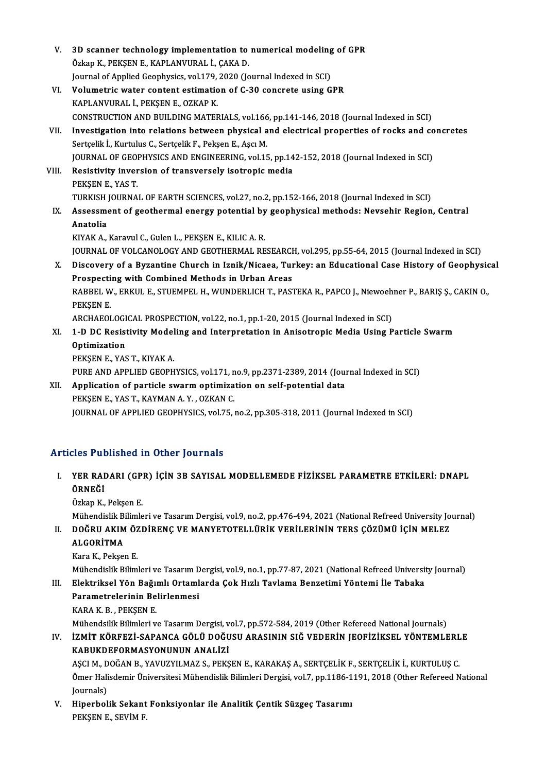| V.    | 3D scanner technology implementation to numerical modeling of GPR                                         |
|-------|-----------------------------------------------------------------------------------------------------------|
|       | Özkap K., PEKŞEN E., KAPLANVURAL İ., ÇAKA D.                                                              |
|       | Journal of Applied Geophysics, vol.179, 2020 (Journal Indexed in SCI)                                     |
| VI.   | Volumetric water content estimation of C-30 concrete using GPR                                            |
|       | KAPLANVURAL İ., PEKŞEN E., OZKAP K.                                                                       |
|       | CONSTRUCTION AND BUILDING MATERIALS, vol.166, pp.141-146, 2018 (Journal Indexed in SCI)                   |
| VII.  | Investigation into relations between physical and electrical properties of rocks and concretes            |
|       | Sertçelik İ., Kurtulus C., Sertçelik F., Pekşen E., Aşcı M.                                               |
|       | JOURNAL OF GEOPHYSICS AND ENGINEERING, vol.15, pp.142-152, 2018 (Journal Indexed in SCI)                  |
| VIII- | Resistivity inversion of transversely isotropic media                                                     |
|       | PEKSEN E, YAS T                                                                                           |
|       | TURKISH JOURNAL OF EARTH SCIENCES, vol.27, no.2, pp.152-166, 2018 (Journal Indexed in SCI)                |
| IX.   | Assessment of geothermal energy potential by geophysical methods: Nevsehir Region, Central                |
|       | Anatolia                                                                                                  |
|       | KIYAK A., Karavul C., Gulen L., PEKŞEN E., KILIC A. R.                                                    |
|       | JOURNAL OF VOLCANOLOGY AND GEOTHERMAL RESEARCH, vol.295, pp.55-64, 2015 (Journal Indexed in SCI)          |
| Χ.    | Discovery of a Byzantine Church in Iznik/Nicaea, Turkey: an Educational Case History of Geophysical       |
|       | Prospecting with Combined Methods in Urban Areas                                                          |
|       | RABBEL W., ERKUL E., STUEMPEL H., WUNDERLICH T., PASTEKA R., PAPCO J., Niewoehner P., BARIS S., CAKIN O., |
|       | PEKŞEN E.                                                                                                 |
|       | ARCHAEOLOGICAL PROSPECTION, vol.22, no.1, pp.1-20, 2015 (Journal Indexed in SCI)                          |
| XI.   | 1-D DC Resistivity Modeling and Interpretation in Anisotropic Media Using Particle Swarm                  |
|       | Optimization                                                                                              |
|       | PEKŞEN E, YAS T, KIYAK A                                                                                  |
|       | PURE AND APPLIED GEOPHYSICS, vol.171, no.9, pp.2371-2389, 2014 (Journal Indexed in SCI)                   |
| XII.  | Application of particle swarm optimization on self-potential data                                         |
|       | DEVEEN E VACT VAVMAN A V OZVANC                                                                           |

PEKŞEN E., YAS T., KAYMAN A.Y., OZKAN C. JOURNAL OF APPLIED GEOPHYSICS, vol.75, no.2, pp.305-318, 2011 (Journal Indexed in SCI)

# Articles Published in Other Journals

rticles Published in Other Journals<br>I. YER RADARI (GPR) İÇİN 3B SAYISAL MODELLEMEDE FİZİKSEL PARAMETRE ETKİLERİ: DNAPL<br>ÖRNEĞİ YER RAI<br>ÖRNEĞİ<br>Örlen K ÖRNEĞİ<br>Özkap K., Pekşen E.

ÖRNEĞİ<br>Özkap K., Pekşen E.<br>Mühendislik Bilimleri ve Tasarım Dergisi, vol.9, no.2, pp.476-494, 2021 (National Refreed University Journal)<br>DOĞRU AKIM ÖZDİRENC VE MANVETOTELI ÜRİK VERİL ERİNİN TERS GÖZÜMÜ İÇİN MELEZ Özkap K., Pekşen E.<br>Mühendislik Bilimleri ve Tasarım Dergisi, vol.9, no.2, pp.476-494, 2021 (National Refreed University Jo<br>II. DOĞRU AKIM ÖZDİRENÇ VE MANYETOTELLÜRİK VERİLERİNİN TERS ÇÖZÜMÜ İÇİN MELEZ<br>ALCOPİTMA Mühendislik Bi<br>DOĞRU AKIM<br>ALGORİTMA<br>Kara K. Baksal II. DOĞRU AKIM ÖZDİRENÇ VE MANYETOTELLÜRİK VERİLERİNİN TERS ÇÖZÜMÜ İÇİN MELEZ<br>ALGORİTMA<br>Kara K., Pekşen E.

- -

Mühendislik Bilimleri ve Tasarım Dergisi, vol.9, no.1, pp.77-87, 2021 (National Refreed University Journal)

# Kara K., Pekşen E.<br>Mühendislik Bilimleri ve Tasarım Dergisi, vol.9, no.1, pp.77-87, 2021 (National Refreed Universit<br>III. Elektriksel Yön Bağımlı Ortamlarda Çok Hızlı Tavlama Benzetimi Yöntemi İle Tabaka<br> Mühendislik Bilimleri ve Tasarım D<br>Elektriksel Yön Bağımlı Ortaml<br>Parametrelerinin Belirlenmesi<br>KARA K. B., BEKÇEN F Elektriksel Yön Bağı<mark>ı</mark><br>Parametrelerinin Be<br>KARA K. B. , PEKŞEN E.<br>Mühandsilik Bilimlanı v Parametrelerinin Belirlenmesi<br>KARA K. B. , PEKŞEN E.<br>Mühendsilik Bilimleri ve Tasarım Dergisi, vol.7, pp.572-584, 2019 (Other Refereed National Journals)

KARA K. B. , PEKŞEN E.<br>Mühendsilik Bilimleri ve Tasarım Dergisi, vol.7, pp.572-584, 2019 (Other Refereed National Journals)<br>IV. İZMİT KÖRFEZİ-SAPANCA GÖLÜ DOĞUSU ARASININ SIĞ VEDERİN JEOFİZİKSEL YÖNTEMLERLE<br>KARIKDEFORMASYO Mühendsilik Bilimleri ve Tasarım Dergisi, v<br>İZMİT KÖRFEZİ-SAPANCA GÖLÜ DOĞU<br>KABUKDEFORMASYONUNUN ANALİZİ<br>ASCI M. DOĞAN B. VAVUZVU MAZ S. BEKS İZMİT KÖRFEZİ-SAPANCA GÖLÜ DOĞUSU ARASININ SIĞ VEDERİN JEOFİZİKSEL YÖNTEMLERL<br>KABUKDEFORMASYONUNUN ANALİZİ<br>AŞCI M., DOĞAN B., YAVUZYILMAZ S., PEKŞEN E., KARAKAŞ A., SERTÇELİK F., SERTÇELİK İ., KURTULUŞ C.<br>Ömer Helisdemir Ü

KABUKDEFORMASYONUNUN ANALİZİ<br>AŞCI M., DOĞAN B., YAVUZYILMAZ S., PEKŞEN E., KARAKAŞ A., SERTÇELİK F., SERTÇELİK İ., KURTULUŞ C.<br>Ömer Halisdemir Üniversitesi Mühendislik Bilimleri Dergisi, vol.7, pp.1186-1191, 2018 (Other Re AŞCI M., DOĞAN B., YAVUZYILMAZ S., PEKŞEN E., KARAKAŞ A., SERTÇELİK F., SERTÇELİK İ., KURTULUŞ C.<br>Ömer Halisdemir Üniversitesi Mühendislik Bilimleri Dergisi, vol.7, pp.1186-1191, 2018 (Other Refereed N<br>Journals)<br>V. Hip Ömer Halisdemir Üniversitesi Mühendislik Bilimleri Dergisi, vol.7, pp.1186-1<br>Journals)<br>V. Hiperbolik Sekant Fonksiyonlar ile Analitik Çentik Süzgeç Tasarımı<br>REKSEN E. SEVİM E

PEKŞEN E, SEVİM F.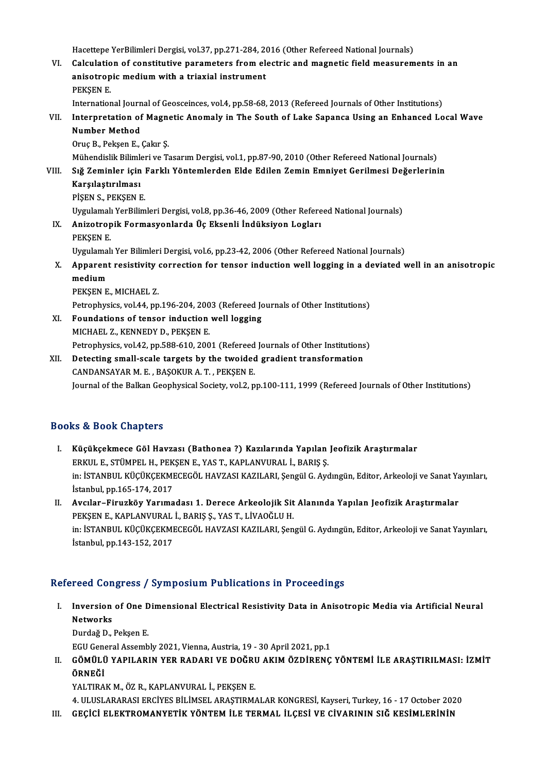Hacettepe YerBilimleri Dergisi, vol.37, pp.271-284, 2016 (Other Refereed National Journals)<br>Celculation of constitutive nonometers from electric and magnetic field measurem

Hacettepe YerBilimleri Dergisi, vol.37, pp.271-284, 2016 (Other Refereed National Journals)<br>VI. Calculation of constitutive parameters from electric and magnetic field measurements in an Hacettepe YerBilimleri Dergisi, vol.37, pp.271-284, 20<br>Calculation of constitutive parameters from ele<br>anisotropic medium with a triaxial instrument<br>PEKCEN E Calculatio<br>anisotrop<br>PEKŞEN E.<br>Internation anisotropic medium with a triaxial instrument<br>PEKŞEN E.<br>International Journal of Geosceinces, vol.4, pp.58-68, 2013 (Refereed Journals of Other Institutions)<br>Internatation of Magnetic Anomaly in The South of Lake Sananca U

PEKŞEN E.<br>International Journal of Geosceinces, vol.4, pp.58-68, 2013 (Refereed Journals of Other Institutions)<br>VII. Interpretation of Magnetic Anomaly in The South of Lake Sapanca Using an Enhanced Local Wave<br>Number M International Journ<br>Interpretation of<br>Number Method<br>Orue B. Peksen F. ( Interpretation of Magne<br>Number Method<br>Oruç B., Pekşen E., Çakır Ş.<br>Mühandialik Bilimlari ve T. Number Method<br>Oruç B., Pekşen E., Çakır Ş.<br>Mühendislik Bilimleri ve Tasarım Dergisi, vol.1, pp.87-90, 2010 (Other Refereed National Journals)<br>Sığ Zominler için Farklı Vöntemlerden Elde Edilen Zomin Emniyet Cerilmesi Değerl Oruç B., Pekşen E., Çakır Ş.<br>Mühendislik Bilimleri ve Tasarım Dergisi, vol.1, pp.87-90, 2010 (Other Refereed National Journals)<br>VIII. Sığ Zeminler için Farklı Yöntemlerden Elde Edilen Zemin Emniyet Gerilmesi Değerlerin Mühendislik Bilimle<br>Sığ Zeminler için<br>Karşılaştırılması<br>PİSEN S. REKSEN E Sığ Zeminler için 1<br>Karşılaştırılması<br>PİŞEN S., PEKŞEN E.<br>Huzulamalı Ver<sup>pilim</sup> Karşılaştırılması<br>PİŞEN S., PEKŞEN E.<br>Uygulamalı YerBilimleri Dergisi, vol.8, pp.36-46, 2009 (Other Refereed National Journals) PİŞEN S., PEKŞEN E.<br>Uygulamalı YerBilimleri Dergisi, vol.8, pp.36-46, 2009 (Other Refere<br>IX. — Anizotropik Formasyonlarda Üç Eksenli İndüksiyon Logları<br>REKSEN E Uygulamalı<br><mark>Anizotrop</mark><br>PEKŞEN E.<br>Uygulamalı

- PEKŞEN E.<br>Uygulamalı Yer Bilimleri Dergisi, vol.6, pp.23-42, 2006 (Other Refereed National Journals)
- PEKŞEN E.<br>Uygulamalı Yer Bilimleri Dergisi, vol.6, pp.23-42, 2006 (Other Refereed National Journals)<br>X. Apparent resistivity correction for tensor induction well logging in a deviated well in an anisotropic<br>modium Uygulama<br><mark>Apparent</mark><br>medium<br>PE*V*SEN E Apparent resistivity<br>medium<br>PEKŞEN E., MICHAEL Z.<br>Petrophysics vol.4.4. nn

medium<br>PEKŞEN E., MICHAEL Z.<br>Petrophysics, vol.44, pp.196-204, 2003 (Refereed Journals of Other Institutions)<br>Foundations of tanger industion well logging PEKŞEN E., MICHAEL Z.<br>Petrophysics, vol.44, pp.196-204, 2003 (Refereed Jo<br>XI. Foundations of tensor induction well logging<br>MICHAEL Z., KENNEDY D., PEKŞEN E.

- Petrophysics, vol.44, pp.196-204, 200<br>Foundations of tensor induction<br>MICHAEL Z., KENNEDY D., PEKŞEN E.<br>Petrophysiss vol.42, pp.599, 610, 200 Petrophysics, vol.42, pp.588-610, 2001 (Refereed Journals of Other Institutions)
- XII. Detecting small-scale targets by the twoided gradient transformation CANDANSAYARM.E. ,BAŞOKURA.T. ,PEKŞENE. Journal of the Balkan Geophysical Society, vol.2, pp.100-111, 1999 (Refereed Journals of Other Institutions)

# Books&Book Chapters

- I. Küçükçekmece Göl Havzası (Bathonea ?) Kazılarında Yapılan Jeofizik Araştırmalar ERKUL E., STÜMPELI E., STÜMPELI E., STÜMPELI E., STÜMPEL H., PEKŞEN E., YAS T., KAPLANVURAL İ., BARIŞ Ş., STÜMPEL H., PEKŞEN E., YAS T., KAPLANVURAL İ., BARIŞ Ş., STÜMPEL H., PEKŞEN E., YAS T., KAPLANVURAL İ., BARIŞ Ş., ST in: İSTANBUL KÜÇÜKÇEKMECEGÖL HAVZASI KAZILARI, Şengül G. Aydıngün, Editor, Arkeoloji ve Sanat Yayınları,<br>İstanbul, pp.165-174, 2017 ERKUL E., STÜMPEL H., PEK<br>in: İSTANBUL KÜÇÜKÇEKMI<br>İstanbul, pp.165-174, 2017<br>Avalan, Einuskây, Yanıma in: İSTANBUL KÜÇÜKÇEKMECEGÖL HAVZASI KAZILARI, Şengül G. Aydıngün, Editor, Arkeoloji ve Sanat Ya<br>İstanbul, pp.165-174, 2017<br>II. Avcılar–Firuzköy Yarımadası 1. Derece Arkeolojik Sit Alanında Yapılan Jeofizik Araştırmalar<br>RE
- İstanbul, pp.165-174, 2017<br><mark>Avcılar–Firuzköy Yarımadası 1. Derece Arkeolojik Sit</mark><br>PEKŞEN E., KAPLANVURAL İ., BARIŞ Ş., YAS T., LİVAOĞLU H.<br>in. İSTANPUL *VÜCÜVCEVMECECÖL HAVZASLKAZI*LAPL Son Avcılar–Firuzköy Yarımadası 1. Derece Arkeolojik Sit Alanında Yapılan Jeofizik Araştırmalar<br>PEKŞEN E., KAPLANVURAL İ., BARIŞ Ş., YAS T., LİVAOĞLU H.<br>in: İSTANBUL KÜÇÜKÇEKMECEGÖL HAVZASI KAZILARI, Şengül G. Aydıngün, Editor PEKŞEN E., KAPLANVURAL İ., BARIŞ Ş., YAS T., LİVAOĞLU H.<br>in: İSTANBUL KÜÇÜKÇEKMECEGÖL HAVZASI KAZILARI, Şengül G. Aydıngün, Editor, Arkeoloji ve Sanat Yayınları,<br>İstanbul, pp.143-152, 2017

# Refereed Congress / Symposium Publications in Proceedings

efereed Congress / Symposium Publications in Proceedings<br>I. Inversion of One Dimensional Electrical Resistivity Data in Anisotropic Media via Artificial Neural<br>Networks Inversion<br>Networks<br><sup>Nurdoš D</sup> **Inversion of One D<br>Networks<br>Durdağ D., Pekşen E.<br>ECU Coneral Assemb** Networks<br>Durdağ D., Pekşen E.<br>EGU General Assembly 2021, Vienna, Austria, 19 - 30 April 2021, pp.1<br>CÖMÜLÜ YAPU APIN YER RADARLYE DOĞRU AKIM ÖZDİRENC

Durdağ D., Pekşen E.<br>EGU General Assembly 2021, Vienna, Austria, 19 - 30 April 2021, pp.1<br>II. GÖMÜLÜ YAPILARIN YER RADARI VE DOĞRU AKIM ÖZDİRENÇ YÖNTEMİ İLE ARAŞTIRILMASI: İZMİT<br>ÖRNEĞİ EGU Gene<br>GÖMÜLI<br>ÖRNEĞİ GÖMÜLÜ YAPILARIN YER RADARI VE DOĞRI<br>ÖRNEĞİ<br>YALTIRAK M., ÖZ R., KAPLANVURAL İ., PEKŞEN E.<br>4. III USLARARASI ERÇİVES BILİMSEL ARASTIRM **ÖRNEĞİ**<br>YALTIRAK M., ÖZ R., KAPLANVURAL İ., PEKŞEN E.<br>4. ULUSLARARASI ERCİYES BİLİMSEL ARASTIRMALAR KONGRESİ, Kayseri, Turkey, 16 - 17 October 2020

III. GEÇİCİ ELEKTROMANYETİK YÖNTEM İLE TERMAL İLÇESİ VE CİVARININ SIĞ KESİMLERİNİN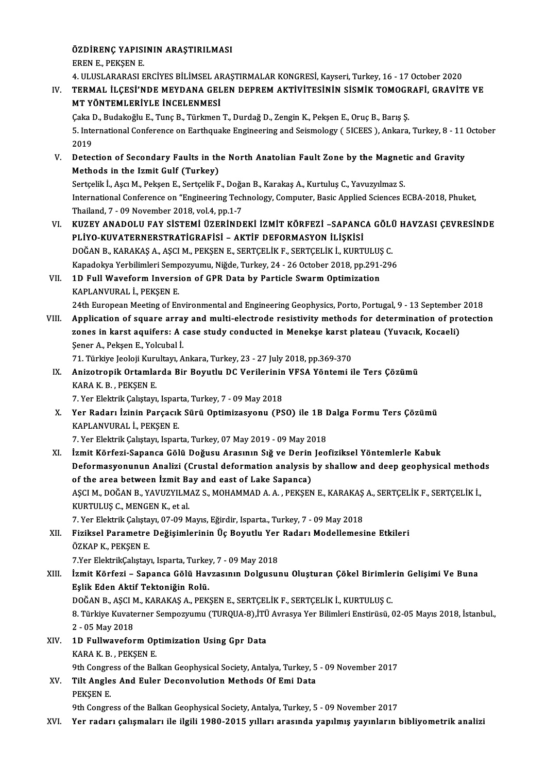# ÖZDİRENÇ YAPISININ ARAŞTIRILMASI<br>FREN E. REKSEN E

|       | ÖZDİRENÇ YAPISININ ARAŞTIRILMASI                                                                                                                                                   |
|-------|------------------------------------------------------------------------------------------------------------------------------------------------------------------------------------|
|       | EREN E, PEKŞEN E                                                                                                                                                                   |
| IV.   | 4. ULUSLARARASI ERCIYES BILIMSEL ARAŞTIRMALAR KONGRESİ, Kayseri, Turkey, 16 - 17 October 2020<br>TERMAL ILÇESI'NDE MEYDANA GELEN DEPREM AKTIVITESININ SISMIK TOMOGRAFI, GRAVITE VE |
|       | MT YÖNTEMLERİYLE İNCELENMESİ                                                                                                                                                       |
|       | Çaka D., Budakoğlu E., Tunç B., Türkmen T., Durdağ D., Zengin K., Pekşen E., Oruç B., Barış Ş.                                                                                     |
|       | 5. International Conference on Earthquake Engineering and Seismology ( 5ICEES ), Ankara, Turkey, 8 - 11 October<br>2019                                                            |
| V.    | Detection of Secondary Faults in the North Anatolian Fault Zone by the Magnetic and Gravity<br>Methods in the Izmit Gulf (Turkey)                                                  |
|       | Sertçelik İ., Aşcı M., Pekşen E., Sertçelik F., Doğan B., Karakaş A., Kurtuluş C., Yavuzyılmaz S.                                                                                  |
|       | International Conference on "Engineering Technology, Computer, Basic Applied Sciences ECBA-2018, Phuket,                                                                           |
|       | Thailand, 7 - 09 November 2018, vol 4, pp 1-7                                                                                                                                      |
| VI.   | KUZEY ANADOLU FAY SİSTEMİ ÜZERİNDEKİ İZMİT KÖRFEZİ -SAPANCA GÖLÜ HAVZASI ÇEVRESİNDE                                                                                                |
|       | PLİYO-KUVATERNERSTRATİGRAFİSİ - AKTİF DEFORMASYON İLİŞKİSİ                                                                                                                         |
|       | DOĞAN B., KARAKAŞ A., AŞCI M., PEKŞEN E., SERTÇELİK F., SERTÇELİK İ., KURTULUŞ C.                                                                                                  |
|       | Kapadokya Yerbilimleri Sempozyumu, Niğde, Turkey, 24 - 26 October 2018, pp.291-296                                                                                                 |
| VII.  | 1D Full Waveform Inversion of GPR Data by Particle Swarm Optimization                                                                                                              |
|       | KAPLANVURAL İ., PEKŞEN E.                                                                                                                                                          |
|       | 24th European Meeting of Environmental and Engineering Geophysics, Porto, Portugal, 9 - 13 September 2018                                                                          |
| VIII. | Application of square array and multi-electrode resistivity methods for determination of protection                                                                                |
|       | zones in karst aquifers: A case study conducted in Menekşe karst plateau (Yuvacık, Kocaeli)                                                                                        |
|       | Şener A., Pekşen E., Yolcubal İ.                                                                                                                                                   |
|       | 71. Türkiye Jeoloji Kurultayı, Ankara, Turkey, 23 - 27 July 2018, pp.369-370                                                                                                       |
| IX.   | Anizotropik Ortamlarda Bir Boyutlu DC Verilerinin VFSA Yöntemi ile Ters Çözümü<br>KARA K B , PEKŞEN E                                                                              |
|       | 7. Yer Elektrik Çalıştayı, Isparta, Turkey, 7 - 09 May 2018                                                                                                                        |
| X.    | Yer Radarı İzinin Parçacık Sürü Optimizasyonu (PSO) ile 1B Dalga Formu Ters Çözümü<br>KAPLANVURAL İ., PEKŞEN E.                                                                    |
|       | 7. Yer Elektrik Çalıştayı, Isparta, Turkey, 07 May 2019 - 09 May 2018                                                                                                              |
| XI.   | İzmit Körfezi-Sapanca Gölü Doğusu Arasının Sığ ve Derin Jeofiziksel Yöntemlerle Kabuk                                                                                              |
|       | Deformasyonunun Analizi (Crustal deformation analysis by shallow and deep geophysical methods                                                                                      |
|       | of the area between İzmit Bay and east of Lake Sapanca)                                                                                                                            |
|       | AŞCI M., DOĞAN B., YAVUZYILMAZ S., MOHAMMAD A. A. , PEKŞEN E., KARAKAŞ A., SERTÇELİK F., SERTÇELİK İ.,                                                                             |
|       | KURTULUŞ C., MENGEN K., et al.                                                                                                                                                     |
|       | 7. Yer Elektrik Çalıştayı, 07-09 Mayıs, Eğirdir, Isparta., Turkey, 7 - 09 May 2018                                                                                                 |
| XII.  | Fiziksel Parametre Değişimlerinin Üç Boyutlu Yer Radarı Modellemesine Etkileri                                                                                                     |
|       | ÖZKAP K., PEKŞEN E.                                                                                                                                                                |
|       | 7.Yer ElektrikÇalıştayı, Isparta, Turkey, 7 - 09 May 2018                                                                                                                          |
| XIII. | İzmit Körfezi - Sapanca Gölü Havzasının Dolgusunu Oluşturan Çökel Birimlerin Gelişimi Ve Buna                                                                                      |
|       | Eşlik Eden Aktif Tektoniğin Rolü.                                                                                                                                                  |
|       | DOĞAN B., AŞCI M., KARAKAŞ A., PEKŞEN E., SERTÇELİK F., SERTÇELİK İ., KURTULUŞ C.                                                                                                  |
|       | 8. Türkiye Kuvaterner Sempozyumu (TURQUA-8),İTÜ Avrasya Yer Bilimleri Enstirüsü, 02-05 Mayıs 2018, İstanbul.,                                                                      |
|       | 2 - 05 May 2018                                                                                                                                                                    |
| XIV.  | 1D Fullwaveform Optimization Using Gpr Data                                                                                                                                        |
|       | VADA V D DEVCENE                                                                                                                                                                   |

- KARAK.B. ,PEKŞENE. 1D Fullwaveform Optimization Using Gpr Data<br>KARA K. B. , PEKŞEN E.<br>9th Congress of the Balkan Geophysical Society, Antalya, Turkey, 5 - 09 November 2017<br>Tilt Angles And Euler Desenvolution Methods Of Emi Data
- XV. Tilt Angles And Euler Deconvolution Methods Of Emi Data<br>PEKŞEN E. 9th Congre<br>Tilt Angle<br>PEKŞEN E.<br><sup>Oth Congre</sub></sup>

9th Congress of the Balkan Geophysical Society, Antalya, Turkey, 5 - 09 November 2017

XVI. Yer radarı çalışmaları ile ilgili 1980-2015 yılları arasında yapılmış yayınların bibliyometrik analizi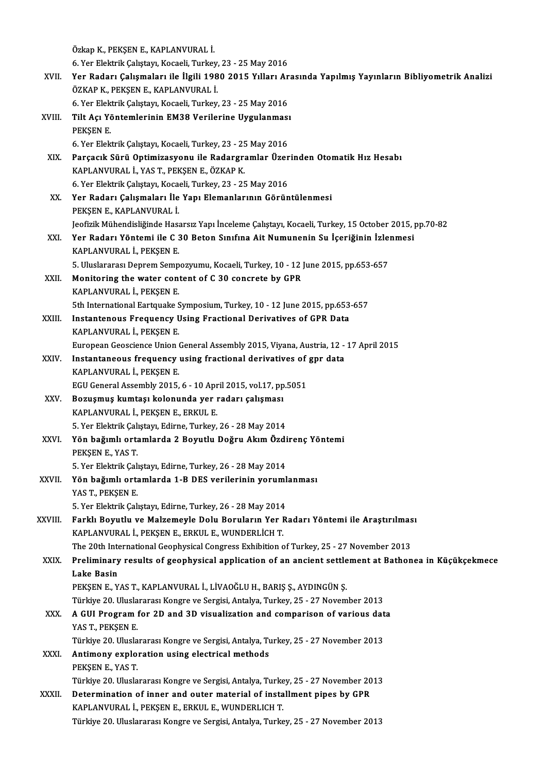Özkap K., PEKŞEN E., KAPLANVURAL İ. özkap K., PEKŞEN E., KAPLANVURAL İ.<br>6. Yer Elektrik Çalıştayı, Kocaeli, Turkey, 23 - 25 May 2016<br>Yer Badarı Çalışmaları ile İlgili 1980 2015 Yılları Ar Özkap K., PEKŞEN E., KAPLANVURAL İ.<br>6. Yer Elektrik Çalıştayı, Kocaeli, Turkey, 23 - 25 May 2016<br>XVII. Yer Radarı Çalışmaları ile İlgili 1980 2015 Yılları Arasında Yapılmış Yayınların Bibliyometrik Analizi<br>ÖZKAR K. REKSE 6. Yer Elektrik Çalıştayı, Kocaeli, Turkey,<br>Yer Radarı Çalışmaları ile İlgili 198<br>ÖZKAP K., PEKŞEN E., KAPLANVURAL İ.<br>6. Yer Elektrik Çalıştayı, Kasaali Turkey Yer Radarı Çalışmaları ile İlgili 1980 2015 Yılları Ar<br>ÖZKAP K., PEKŞEN E., KAPLANVURAL İ.<br>6. Yer Elektrik Çalıştayı, Kocaeli, Turkey, 23 - 25 May 2016<br>Tilt Ası Yöntemlerinin EM38 Verilerine Hygulanması ÖZKAP K., PEKŞEN E., KAPLANVURAL İ.<br>6. Yer Elektrik Çalıştayı, Kocaeli, Turkey, 23 - 25 May 2016<br>XVIII. Tilt Açı Yöntemlerinin EM38 Verilerine Uygulanması<br>PEKSEN E 6. Yer Elek<br>Tilt Açı Yö<br>PEKŞEN E.<br>6. Yor Elek Tilt Açı Yöntemlerinin EM38 Verilerine Uygulanması<br>PEKŞEN E.<br>6. Yer Elektrik Çalıştayı, Kocaeli, Turkey, 23 - 25 May 2016<br>Parsasık Şürü Ontimizasyonu ile Padarsızamlar Üzen PEKŞEN E.<br>6. Yer Elektrik Çalıştayı, Kocaeli, Turkey, 23 - 25 May 2016<br>XIX. Parçacık Sürü Optimizasyonu ile Radargramlar Üzerinden Otomatik Hız Hesabı<br>KAPLANVURAL İ. YAS T. PEKSEN E. ÖZKAR K 6. Yer Elektrik Çalıştayı, Kocaeli, Turkey, 23 - 25<br>Parçacık Sürü Optimizasyonu ile Radargra<br>KAPLANVURAL İ., YAS T., PEKŞEN E., ÖZKAP K.<br>6. Yar Elektrik Çalıstayı, Kosaali Turkey, 22., 25 Parçacık Sürü Optimizasyonu ile Radargramlar Üzer<br>KAPLANVURAL İ., YAS T., PEKŞEN E., ÖZKAP K.<br>6. Yer Elektrik Çalıştayı, Kocaeli, Turkey, 23 - 25 May 2016<br>Yer Badarı Calısmaları ile Yanı Elemanlarının Görün KAPLANVURAL İ., YAS T., PEKŞEN E., ÖZKAP K.<br>6. Yer Elektrik Çalıştayı, Kocaeli, Turkey, 23 - 25 May 2016<br>XX. Yer Radarı Çalışmaları İle Yapı Elemanlarının Görüntülenmesi<br>PEKSEN E., KAPLANVURAL İ. 6. Yer Elektrik Çalıştayı, Kocaeli, Turkey, 23 - 25 May 2016 Yer Radarı Çalışmaları İle Yapı Elemanlarının Görüntülenmesi<br>PEKŞEN E., KAPLANVURAL İ.<br>Jeofizik Mühendisliğinde Hasarsız Yapı İnceleme Çalıştayı, Kocaeli, Turkey, 15 October 2015, pp.70-82<br>Yan Badarı Yöntemi ile G 30 Betan PEKŞEN E., KAPLANVURAL İ.<br>Jeofizik Mühendisliğinde Hasarsız Yapı İnceleme Çalıştayı, Kocaeli, Turkey, 15 October 2015, <sub>J</sub><br>XXI. Yer Radarı Yöntemi ile C 30 Beton Sınıfına Ait Numunenin Su İçeriğinin İzlenmesi<br>KARLANVUR Jeofizik Mühendisliğinde Has<mark>:</mark><br>Yer Radarı Yöntemi ile C :<br>KAPLANVURAL İ., PEKŞEN E.<br>E. Uluslanarası Danram Samn Yer Radarı Yöntemi ile C 30 Beton Sınıfına Ait Numunenin Su İçeriğinin İzle:<br>KAPLANVURAL İ., PEKŞEN E.<br>5. Uluslararası Deprem Sempozyumu, Kocaeli, Turkey, 10 - 12 June 2015, pp.653-657<br>Monitoning the water sentent of G 30 KAPLANVURAL İ., PEKŞEN E.<br>5. Uluslararası Deprem Sempozyumu, Kocaeli, Turkey, 10 - 12 ]<br>XXII. Monitoring the water content of C 30 concrete by GPR<br>KARLANVURAL İ. REKSEN E 5. Uluslararası Deprem Semp<br>Monitoring the water con<br>KAPLANVURAL İ., PEKŞEN E.<br>Eth International Eartauaka S Monitoring the water content of C 30 concrete by GPR<br>KAPLANVURAL İ., PEKŞEN E.<br>5th International Eartquake Symposium, Turkey, 10 - 12 June 2015, pp.653-657<br>Instantanous Frequency Heing Enastional Derivatives of CPP Data KAPLANVURAL İ., PEKŞEN E.<br>5th International Eartquake Symposium, Turkey, 10 - 12 June 2015, pp.653<br>XXIII. Instantenous Frequency Using Fractional Derivatives of GPR Data<br>KABLANVURALİ REKSEN E 5th International Eartquake S<br>Instantenous Frequency U<br>KAPLANVURAL İ., PEKŞEN E.<br>Euronean Ceassiance Unian ( Instantenous Frequency Using Fractional Derivatives of GPR Data<br>KAPLANVURAL İ., PEKŞEN E.<br>European Geoscience Union General Assembly 2015, Viyana, Austria, 12 - 17 April 2015 KAPLANVURAL İ., PEKŞEN E.<br>European Geoscience Union General Assembly 2015, Viyana, Austria, 12 -<br>XXIV. Instantaneous frequency using fractional derivatives of gpr data<br>KAPLANVURAL İ. PEKSEN E European Geoscience Union<br>Instantaneous frequency<br>KAPLANVURAL İ., PEKŞEN E.<br>ECU Conoral Assembly 2015 Instantaneous frequency using fractional derivatives of<br>KAPLANVURAL İ., PEKŞEN E.<br>EGU General Assembly 2015, 6 - 10 April 2015, vol.17, pp.5051<br>Begusmus kumtası kelenunda ver radarı selismesı KAPLANVURAL İ., PEKŞEN E.<br>EGU General Assembly 2015, 6 - 10 April 2015, vol.17, pp<br>XXV. Bozuşmuş kumtaşı kolonunda yer radarı çalışması<br>KAPLANVURAL İ. REKSEN E. ERKUL E. EGU General Assembly 2015, 6 - 10 Apr<br>Bozuşmuş kumtaşı kolonunda yer<br>KAPLANVURAL İ., PEKŞEN E., ERKUL E.<br>E. Yer Elektrik Celstavı, Edirne, Turkey. Bozuşmuş kumtaşı kolonunda yer radarı çalışması<br>KAPLANVURAL İ., PEKŞEN E., ERKUL E.<br>5. Yer Elektrik Çalıştayı, Edirne, Turkey, 26 - 28 May 2014<br>Yön boğumlu ortamlarda 2 Boyutlu Doğru, Alum Özdi KAPLANVURAL İ., PEKŞEN E., ERKUL E.<br>5. Yer Elektrik Çalıştayı, Edirne, Turkey, 26 - 28 May 2014<br>XXVI. Yön bağımlı ortamlarda 2 Boyutlu Doğru Akım Özdirenç Yöntemi<br>PEKSEN E., YAS T. 5. Yer Elektrik Çalı<br>Yön bağımlı orta<br>PEKŞEN E., YAS T.<br>5. Yer Elektrik Çalı 5. Yön bağımlı ortamlarda 2 Boyutlu Doğru Akım Özdi<br>PEKŞEN E., YAS T.<br>5. Yer Elektrik Çalıştayı, Edirne, Turkey, 26 - 28 May 2014<br>Yön bağımlı antamlarda 1 B.DES verilerinin yanıml PEKŞEN E., YAS T.<br>5. Yer Elektrik Çalıştayı, Edirne, Turkey, 26 - 28 May 2014<br>XXVII. Yön bağımlı ortamlarda 1-B DES verilerinin yorumlanması<br>YAS T. PEKSEN E 5. Yer Elektrik Çalı<br>Yön bağımlı orta<br>YAS T., PEKŞEN E.<br>5. Yen Flektrik Çalı 5. Yön bağımlı ortamlarda 1-B DES verilerinin yoruml<br>YAS T., PEKŞEN E.<br>5. Yer Elektrik Çalıştayı, Edirne, Turkey, 26 - 28 May 2014<br>Farklı Bayutlu ve Malzamayla Dalu Baruların Yan B YAS T., PEKŞEN E.<br>5. Yer Elektrik Çalıştayı, Edirne, Turkey, 26 - 28 May 2014<br>XXVIII. Farklı Boyutlu ve Malzemeyle Dolu Boruların Yer Radarı Yöntemi ile Araştırılması<br>KAPLANVURAL İ., PEKŞEN E., ERKUL E., WUNDERLİCH T. 5. Yer Elektrik Çalıştayı, Edirne, Turkey, 26 - 28 May 2014 Farklı Boyutlu ve Malzemeyle Dolu Boruların Yer Radarı Yöntemi ile Araştırılmas<br>KAPLANVURAL İ., PEKŞEN E., ERKUL E., WUNDERLİCH T.<br>The 20th International Geophysical Congress Exhibition of Turkey, 25 - 27 November 2013<br>Pre XXIX. Preliminary results of geophysical application of an ancient settlement at Bathonea in Küçükçekmece The 20th Inte<br>Preliminary<br>Lake Basin<br>PEKEN E. V PEKŞEN E., YAS T., KAPLANVURAL İ., LİVAOĞLU H., BARIŞ Ş., AYDINGÜN Ş. Lake Basin<br>PEKŞEN E., YAS T., KAPLANVURAL İ., LİVAOĞLU H., BARIŞ Ş., AYDINGÜN Ş.<br>Türkiye 20. Uluslararası Kongre ve Sergisi, Antalya, Turkey, 25 - 27 November 2013<br>A.CUL Program for 2D and 2D visualization and somnarison o PEKŞEN E., YAS T., KAPLANVURAL İ., LİVAOĞLU H., BARIŞ Ş., AYDINGÜN Ş.<br>Türkiye 20. Uluslararası Kongre ve Sergisi, Antalya, Turkey, 25 - 27 November 2013<br>XXX. A GUI Program for 2D and 3D visualization and comparison of Türkiye 20. Ulusla<br>A GUI Program 1<br>YAS T., PEKŞEN E.<br>Türkiye 20. Ulusla A GUI Program for 2D and 3D visualization and comparison of various dat<br>YAS T., PEKŞEN E.<br>Türkiye 20. Uluslararası Kongre ve Sergisi, Antalya, Turkey, 25 - 27 November 2013<br>Antimony evploration using electrical methods YAS T., PEKŞEN E.<br>Türkiye 20. Uluslararası Kongre ve Sergisi, Antalya, Turkey, 25 - 27 November 2013<br>XXXI. Antimony exploration using electrical methods PEKŞEN E., YAS T. Antimony exploration using electrical methods<br>PEKŞEN E., YAS T.<br>Türkiye 20. Uluslararası Kongre ve Sergisi, Antalya, Turkey, 25 - 27 November 2013<br>Determination of inner and outer meterial of installment nines by CPP. PEKŞEN E., YAS T.<br>Türkiye 20. Uluslararası Kongre ve Sergisi, Antalya, Turkey, 25 - 27 November 20<br>XXXII. Determination of inner and outer material of installment pipes by GPR Türkiye 20. Uluslararası Kongre ve Sergisi, Antalya, Turke<br>Determination of inner and outer material of insta<br>KAPLANVURAL İ., PEKŞEN E., ERKUL E., WUNDERLICH T.<br>Türkiye 20. Uluslararası Kongre ve Sargisi, Antalya Turke Determination of inner and outer material of installment pipes by GPR<br>KAPLANVURAL İ., PEKŞEN E., ERKUL E., WUNDERLICH T.<br>Türkiye 20. Uluslararası Kongre ve Sergisi, Antalya, Turkey, 25 - 27 November 2013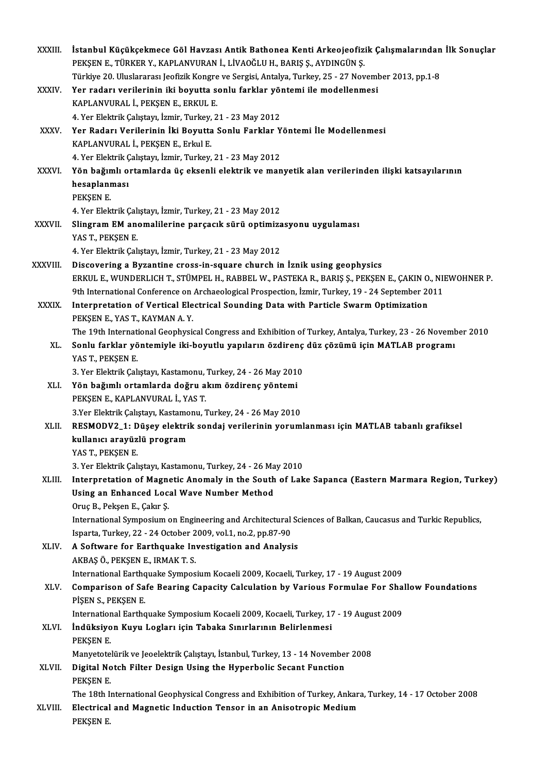| XXXIII.       | İstanbul Küçükçekmece Göl Havzası Antik Bathonea Kenti Arkeojeofizik Çalışmalarından İlk Sonuçlar            |
|---------------|--------------------------------------------------------------------------------------------------------------|
|               | PEKŞEN E., TÜRKER Y., KAPLANVURAN İ., LİVAOĞLU H., BARIŞ Ş., AYDINGÜN Ş.                                     |
|               | Türkiye 20. Uluslararası Jeofizik Kongre ve Sergisi, Antalya, Turkey, 25 - 27 November 2013, pp.1-8          |
| XXXIV.        | Yer radarı verilerinin iki boyutta sonlu farklar yöntemi ile modellenmesi                                    |
|               | KAPLANVURAL İ., PEKŞEN E., ERKUL E.                                                                          |
|               | 4. Yer Elektrik Çalıştayı, İzmir, Turkey, 21 - 23 May 2012                                                   |
| XXXV.         | Yer Radarı Verilerinin İki Boyutta Sonlu Farklar Yöntemi İle Modellenmesi                                    |
|               | KAPLANVURAL İ., PEKŞEN E., Erkul E.                                                                          |
|               | 4. Yer Elektrik Çalıştayı, İzmir, Turkey, 21 - 23 May 2012                                                   |
| <b>XXXVI</b>  | Yön bağımlı ortamlarda üç eksenli elektrik ve manyetik alan verilerinden ilişki katsayılarının               |
|               | hesaplanması                                                                                                 |
|               | PEKŞEN E                                                                                                     |
|               | 4. Yer Elektrik Çalıştayı, İzmir, Turkey, 21 - 23 May 2012                                                   |
| <b>XXXVII</b> | Slingram EM anomalilerine parçacık sürü optimizasyonu uygulaması                                             |
|               | YAS T, PEKŞEN E                                                                                              |
|               | 4. Yer Elektrik Çalıştayı, İzmir, Turkey, 21 - 23 May 2012                                                   |
| XXXVIII.      | Discovering a Byzantine cross-in-square church in İznik using geophysics                                     |
|               | ERKUL E., WUNDERLICH T., STÜMPEL H., RABBEL W., PASTEKA R., BARIŞ Ş., PEKŞEN E., ÇAKIN O., NIEWOHNER P.      |
|               | 9th International Conference on Archaeological Prospection, İzmir, Turkey, 19 - 24 September 2011            |
| <b>XXXIX</b>  | Interpretation of Vertical Electrical Sounding Data with Particle Swarm Optimization                         |
|               | PEKŞEN E, YAS T, KAYMAN A.Y.                                                                                 |
|               | The 19th International Geophysical Congress and Exhibition of Turkey, Antalya, Turkey, 23 - 26 November 2010 |
| XL.           | Sonlu farklar yöntemiyle iki-boyutlu yapıların özdirenç düz çözümü için MATLAB programı                      |
|               | YAS T., PEKŞEN E.                                                                                            |
|               | 3. Yer Elektrik Çalıştayı, Kastamonu, Turkey, 24 - 26 May 2010                                               |
| XLI.          | Yön bağımlı ortamlarda doğru akım özdirenç yöntemi                                                           |
|               | PEKŞEN E, KAPLANVURAL İ, YAS T.                                                                              |
|               | 3.Yer Elektrik Çalıştayı, Kastamonu, Turkey, 24 - 26 May 2010                                                |
| XLII.         | RESMODV2_1: Düşey elektrik sondaj verilerinin yorumlanması için MATLAB tabanlı grafiksel                     |
|               | kullanıcı arayüzlü program                                                                                   |
|               | YAS T, PEKSEN E                                                                                              |
|               | 3. Yer Elektrik Çalıştayı, Kastamonu, Turkey, 24 - 26 May 2010                                               |
| XLIII.        | Interpretation of Magnetic Anomaly in the South of Lake Sapanca (Eastern Marmara Region, Turkey)             |
|               | Using an Enhanced Local Wave Number Method                                                                   |
|               | Oruç B, Pekşen E, Çakır Ş.                                                                                   |
|               | International Symposium on Engineering and Architectural Sciences of Balkan, Caucasus and Turkic Republics,  |
|               | Isparta, Turkey, 22 - 24 October 2009, vol.1, no.2, pp.87-90                                                 |
| XLIV.         | A Software for Earthquake Investigation and Analysis                                                         |
|               | AKBAŞ Ö., PEKŞEN E., IRMAK T. S.                                                                             |
|               | International Earthquake Symposium Kocaeli 2009, Kocaeli, Turkey, 17 - 19 August 2009                        |
| XLV.          | Comparison of Safe Bearing Capacity Calculation by Various Formulae For Shallow Foundations                  |
|               | PIŞEN S., PEKŞEN E.                                                                                          |
|               | International Earthquake Symposium Kocaeli 2009, Kocaeli, Turkey, 17 - 19 August 2009                        |
| XLVI.         | İndüksiyon Kuyu Logları için Tabaka Sınırlarının Belirlenmesi                                                |
|               | PEKŞEN E                                                                                                     |
|               | Manyetotelürik ve Jeoelektrik Çalıştayı, İstanbul, Turkey, 13 - 14 November 2008                             |
| XLVII.        | Digital Notch Filter Design Using the Hyperbolic Secant Function                                             |
|               | PEKŞEN E                                                                                                     |
|               | The 18th International Geophysical Congress and Exhibition of Turkey, Ankara, Turkey, 14 - 17 October 2008   |
| XLVIII.       | Electrical and Magnetic Induction Tensor in an Anisotropic Medium                                            |
|               | PEKŞEN E                                                                                                     |
|               |                                                                                                              |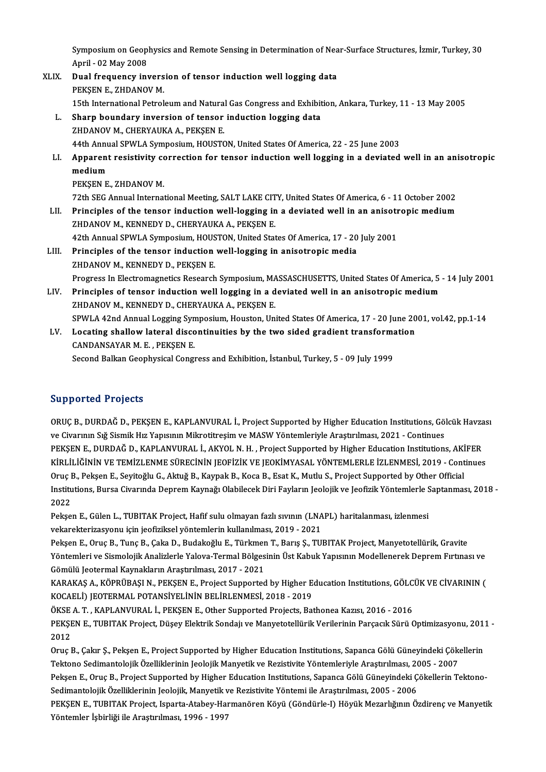Symposium on Geophysics and Remote Sensing in Determination of Near-Surface Structures, İzmir, Turkey, 30<br>April - 03 May 2008 Symposium on Geop.<br>April - 02 May 2008<br>Dual freauensy in: Symposium on Geophysics and Remote Sensing in Determination of Nea<br>April - 02 May 2008<br>XLIX. Dual frequency inversion of tensor induction well logging data<br>REKEN E. ZHDANOV M

- April 02 May 2008<br>Dual frequency inversion of tensor induction well logging data<br>PEKSEN E.. ZHDANOV M. Dual frequency inversion of tensor induction well logging data<br>PEKŞEN E., ZHDANOV M.<br>15th International Petroleum and Natural Gas Congress and Exhibition, Ankara, Turkey, 11 - 13 May 2005<br>Sharn boundary inversion of tensor 15th International Petroleum and Natura<br>Sharp boundary inversion of tensor<br>ZHDANOV M., CHERYAUKA A., PEKŞEN E.
	- L. Sharp boundary inversion of tensor induction logging data Sharp boundary inversion of tensor induction logging data<br>ZHDANOV M., CHERYAUKA A., PEKŞEN E.<br>44th Annual SPWLA Symposium, HOUSTON, United States Of America, 22 - 25 June 2003<br>Annaront resistivity correction for tensor ind LI. Apparent resistivity correction for tensor induction well logging in a deviated well in an anisotropic medium **44th Annu<br>Apparent<br>medium<br>PEKEN E** PEKŞEN E., ZHDANOV M.
		- 72th SEG Annual International Meeting, SALT LAKE CITY, United States Of America, 6 11 October 2002
	- LII. Principles of the tensor induction well-logging in a deviated well in an anisotropic medium ZHDANOV M., KENNEDY D., CHERYAUKA A., PEKŞEN E. Principles of the tensor induction well-logging in a deviated well in an anisotr<br>ZHDANOV M., KENNEDY D., CHERYAUKA A., PEKŞEN E.<br>42th Annual SPWLA Symposium, HOUSTON, United States Of America, 17 - 20 July 2001<br>Principles
- ZHDANOV M., KENNEDY D., CHERYAUKA A., PEKŞEN E.<br>42th Annual SPWLA Symposium, HOUSTON, United States Of America, 17 20<br>LIII. Principles of the tensor induction well-logging in anisotropic media<br>74DANOV M. KENNEDY D. PEKSE 42th Annual SPWLA Symposium, HOUS<br>Principles of the tensor induction<br>ZHDANOV M., KENNEDY D., PEKŞEN E.<br>Progress In Electromografies Bessersh Principles of the tensor induction well-logging in anisotropic media<br>ZHDANOV M., KENNEDY D., PEKŞEN E.<br>Progress In Electromagnetics Research Symposium, MASSASCHUSETTS, United States Of America, 5 - 14 July 2001
- ZHDANOV M., KENNEDY D., PEKŞEN E.<br>Progress In Electromagnetics Research Symposium, MASSASCHUSETTS, United States Of America, 5<br>LIV. Principles of tensor induction well logging in a deviated well in an anisotropic medium<br>ZU Progress In Electromagnetics Research Symposium, MA<br>Principles of tensor induction well logging in a d<br>ZHDANOV M., KENNEDY D., CHERYAUKA A., PEKŞEN E.<br>SPWLA 42nd Annual Legging Symposium, Houston Un Principles of tensor induction well logging in a deviated well in an anisotropic medium<br>ZHDANOV M., KENNEDY D., CHERYAUKA A., PEKŞEN E.<br>SPWLA 42nd Annual Logging Symposium, Houston, United States Of America, 17 - 20 June 2 ZHDANOV M., KENNEDY D., CHERYAUKA A., PEKŞEN E.<br>SPWLA 42nd Annual Logging Symposium, Houston, United States Of America, 17 - 20 June 20<br>LV. Locating shallow lateral discontinuities by the two sided gradient transformation<br>
- SPWLA 42nd Annual Logging Syn<br>Locating shallow lateral disco<br>CANDANSAYAR M. E. , PEKŞEN E.<br>Second Balkan Coophysical Concu Second Balkan Geophysical Congress and Exhibition, İstanbul, Turkey, 5 - 09 July 1999

# Supported Projects

Supported Projects<br>ORUÇ B., DURDAĞ D., PEKŞEN E., KAPLANVURAL İ., Project Supported by Higher Education Institutions, Gölcük Havzası<br>ve Givarının Sığ Sismik Hız Yapısının Milmetitresim ve MASW Yöntemleriyle Anastrulması 20 ve Civarının Sığ Sismik Hız Yapısının Mikrotitreşim ve MASW Yöntemleriyle Araştırılması, 2021 - Continues ORUÇ B., DURDAĞ D., PEKŞEN E., KAPLANVURAL İ., Project Supported by Higher Education Institutions, Gölcük Havza<br>ve Civarının Sığ Sismik Hız Yapısının Mikrotitreşim ve MASW Yöntemleriyle Araştırılması, 2021 - Continues<br>PEKŞ KİRLİLİĞİNİN VE TEMİZLENME SÜRECİNİN JEOFİZİK VE JEOKİMYASAL YÖNTEMLERLE İZLENMESİ, 2019 - Continues<br>Oruç B., Pekşen E., Seyitoğlu G., Aktuğ B., Kaypak B., Koca B., Esat K., Mutlu S., Project Supported by Other Official PEKŞEN E., DURDAĞ D., KAPLANVURAL İ., AKYOL N. H., Project Supported by Higher Education Institutions, AKİFER KİRLİLİĞİNİN VE TEMİZLENME SÜRECİNİN JEOFİZİK VE JEOKİMYASAL YÖNTEMLERLE İZLENMESİ, 2019 - Continues<br>Oruç B., Pekşen E., Seyitoğlu G., Aktuğ B., Kaypak B., Koca B., Esat K., Mutlu S., Project Supported by Other Official<br>In Oruç I<br>Institu<br>2022<br>Pelses Institutions, Bursa Civarında Deprem Kaynağı Olabilecek Diri Fayların Jeolojik ve Jeofizik Yöntemlerle S<br>2022<br>Pekşen E., Gülen L., TUBITAK Project, Hafif sulu olmayan fazlı sıvının (LNAPL) haritalanması, izlenmesi<br>vekarekt

2022<br>Pekşen E., Gülen L., TUBITAK Project, Hafif sulu olmayan fazlı sıvının (LNAPL) haritalanması, izlenmesi<br>vekarekterizasyonu için jeofiziksel yöntemlerin kullanılması, 2019 - 2021

Pekşen E., Oruç B., Tunç B., Çaka D., Budakoğlu E., Türkmen T., Barış Ş., TUBITAK Project, Manyetotellürik, Gravite vekarekterizasyonu için jeofiziksel yöntemlerin kullanılması, 2019 - 2021<br>Pekşen E., Oruç B., Tunç B., Çaka D., Budakoğlu E., Türkmen T., Barış Ş., TUBITAK Project, Manyetotellürik, Gravite<br>Yöntemleri ve Sismolojik Analizl Pekşen E., Oruç B., Tunç B., Çaka D., Budakoğlu E., Türkmer<br>Yöntemleri ve Sismolojik Analizlerle Yalova-Termal Bölges<br>Gömülü Jeotermal Kaynakların Araştırılması, 2017 - 2021<br>KARAKAS A., KÖPPÜRASI N., PEKSEN E., Project Sun Yöntemleri ve Sismolojik Analizlerle Yalova-Termal Bölgesinin Üst Kabuk Yapısının Modellenerek Deprem Fırtınası ve<br>Gömülü Jeotermal Kaynakların Araştırılması, 2017 - 2021<br>KARAKAŞ A., KÖPRÜBAŞI N., PEKŞEN E., Project Suppor

Gömülü Jeotermal Kaynakların Araştırılması, 2017 - 2021<br>KARAKAŞ A., KÖPRÜBAŞI N., PEKŞEN E., Project Supported by Higher E<br>KOCAELİ) JEOTERMAL POTANSİYELİNİN BELİRLENMESİ, 2018 - 2019 KARAKAŞ A., KÖPRÜBAŞI N., PEKŞEN E., Project Supported by Higher Education Institutions, GÖLCÜK VE CİVARININ (

KOCAELİ) JEOTERMAL POTANSİYELİNİN BELİRLENMESİ, 2018 - 2019<br>ÖKSE A. T. , KAPLANVURAL İ., PEKŞEN E., Other Supported Projects, Bathonea Kazısı, 2016 - 2016<br>PEKŞEN E., TUBITAK Project, Düşey Elektrik Sondajı ve Manyetotellür ÖKSE A. T. , KAPLANVURAL İ., PEKŞEN E., Other Supported Projects, Bathonea Kazısı, 2016 - 2016<br>PEKŞEN E., TUBITAK Project, Düşey Elektrik Sondajı ve Manyetotellürik Verilerinin Parçacık Sürü (<br>2012 PEKŞEN E., TUBITAK Project, Düşey Elektrik Sondajı ve Manyetotellürik Verilerinin Parçacık Sürü Optimizasyonu, 201<br>2012<br>Oruç B., Çakır Ş., Pekşen E., Project Supported by Higher Education Institutions, Sapanca Gölü Güneyin

Oruç B., Çakır Ş., Pekşen E., Project Supported by Higher Education Institutions, Sapanca Gölü Güneyindeki Çökellerin<br>Tektono Sedimantolojik Özelliklerinin Jeolojik Manyetik ve Rezistivite Yöntemleriyle Araştırılması, 2005 Pekşen E., Oruç B., Project Supported by Higher Education Institutions, Sapanca Gölü Güneyindeki Çökellerin Tektono-Tektono Sedimantolojik Özelliklerinin Jeolojik Manyetik ve Rezistivite Yöntemleriyle Araştırılması, 20<br>Pekşen E., Oruç B., Project Supported by Higher Education Institutions, Sapanca Gölü Güneyindeki Ç<br>Sedimantolojik Özell PEKŞEN E., TUBITAK Project, Isparta-Atabey-Harmanören Köyü (Göndürle-I) Höyük Mezarlığının Özdirenç ve Manyetik<br>Yöntemler İşbirliği ile Araştırılması, 1996 - 1997 Sedimantolojik Özelliklerinin Jeolojik, Manyetik v<br>PEKŞEN E., TUBITAK Project, Isparta-Atabey-Haı<br>Yöntemler İşbirliği ile Araştırılması, 1996 - 1997